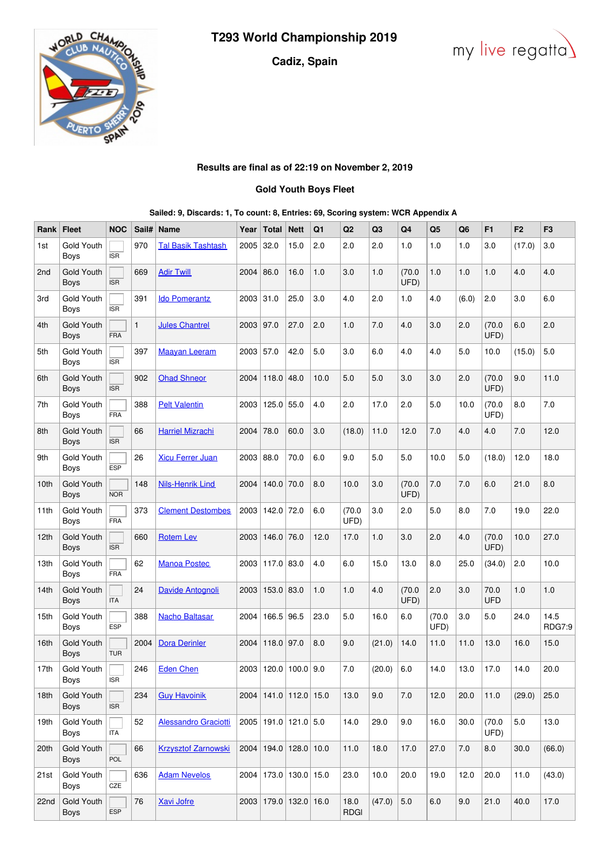## **Cadiz, Spain**





## **Results are final as of 22:19 on November 2, 2019**

## **Gold Youth Boys Fleet**

| Sailed: 9, Discards: 1, To count: 8, Entries: 69, Scoring system: WCR Appendix A |  |  |  |
|----------------------------------------------------------------------------------|--|--|--|
|----------------------------------------------------------------------------------|--|--|--|

| Rank | <b>Fleet</b>                     | <b>NOC</b> | Sail#        | Name                       | Year        | <b>Total</b>                | <b>Nett</b>        | Q <sub>1</sub> | Q <sub>2</sub>      | Q3     | Q4             | Q5             | Q6    | F <sub>1</sub>     | F <sub>2</sub> | F <sub>3</sub>        |
|------|----------------------------------|------------|--------------|----------------------------|-------------|-----------------------------|--------------------|----------------|---------------------|--------|----------------|----------------|-------|--------------------|----------------|-----------------------|
| 1st  | Gold Youth<br>Boys               | <b>ISR</b> | 970          | Tal Basik Tashtash         | 2005        | 32.0                        | 15.0               | 2.0            | 2.0                 | 2.0    | 1.0            | 1.0            | 1.0   | 3.0                | (17.0)         | 3.0                   |
| 2nd  | Gold Youth<br>Boys               | <b>ISR</b> | 669          | <b>Adir Twill</b>          | 2004        | 86.0                        | 16.0               | 1.0            | 3.0                 | 1.0    | (70.0)<br>UFD) | 1.0            | 1.0   | 1.0                | 4.0            | 4.0                   |
| 3rd  | Gold Youth<br>Boys               | <b>ISR</b> | 391          | <b>Ido Pomerantz</b>       | 2003        | 31.0                        | 25.0               | 3.0            | 4.0                 | 2.0    | 1.0            | 4.0            | (6.0) | 2.0                | 3.0            | 6.0                   |
| 4th  | Gold Youth<br><b>Boys</b>        | FRA        | $\mathbf{1}$ | <b>Jules Chantrel</b>      | 2003        | 97.0                        | 27.0               | 2.0            | 1.0                 | 7.0    | 4.0            | 3.0            | 2.0   | (70.0)<br>UFD)     | 6.0            | 2.0                   |
| 5th  | <b>Gold Youth</b><br>Boys        | <b>ISR</b> | 397          | <b>Maayan Leeram</b>       | $2003$ 57.0 |                             | 42.0               | 5.0            | 3.0                 | 6.0    | 4.0            | 4.0            | 5.0   | 10.0               | (15.0)         | 5.0                   |
| 6th  | <b>Gold Youth</b><br>Boys        | <b>ISR</b> | 902          | <b>Ohad Shneor</b>         | 2004        | 118.0                       | 48.0               | 10.0           | 5.0                 | 5.0    | 3.0            | 3.0            | 2.0   | (70.0)<br>UFD)     | 9.0            | 11.0                  |
| 7th  | Gold Youth<br>Boys               | <b>FRA</b> | 388          | <b>Pelt Valentin</b>       | 2003        | 125.0                       | 55.0               | 4.0            | 2.0                 | 17.0   | 2.0            | 5.0            | 10.0  | (70.0)<br>UFD)     | 8.0            | 7.0                   |
| 8th  | Gold Youth<br>Boys               | <b>ISR</b> | 66           | <b>Harriel Mizrachi</b>    | $2004$ 78.0 |                             | 60.0               | 3.0            | (18.0)              | 11.0   | 12.0           | 7.0            | 4.0   | 4.0                | 7.0            | 12.0                  |
| 9th  | Gold Youth<br>Boys               | <b>ESP</b> | 26           | <b>Xicu Ferrer Juan</b>    | $2003$ 88.0 |                             | 70.0               | 6.0            | 9.0                 | 5.0    | 5.0            | 10.0           | 5.0   | (18.0)             | 12.0           | 18.0                  |
| 10th | <b>Gold Youth</b><br>Boys        | <b>NOR</b> | 148          | <b>Nils-Henrik Lind</b>    | 2004        | $140.0$ 70.0                |                    | 8.0            | 10.0                | 3.0    | (70.0)<br>UFD) | 7.0            | 7.0   | 6.0                | 21.0           | 8.0                   |
| 11th | Gold Youth<br>Boys               | FRA        | 373          | <b>Clement Destombes</b>   | 2003        | 142.0                       | 72.0               | 6.0            | (70.0)<br>UFD)      | 3.0    | 2.0            | 5.0            | 8.0   | 7.0                | 19.0           | 22.0                  |
| 12th | <b>Gold Youth</b><br><b>Boys</b> | <b>ISR</b> | 660          | <b>Rotem Lev</b>           | 2003        | $146.0$ 76.0                |                    | 12.0           | 17.0                | 1.0    | 3.0            | 2.0            | 4.0   | (70.0)<br>UFD)     | 10.0           | 27.0                  |
| 13th | Gold Youth<br>Boys               | <b>FRA</b> | 62           | <b>Manoa Postec</b>        |             | 2003   117.0   83.0         |                    | 4.0            | 6.0                 | 15.0   | 13.0           | 8.0            | 25.0  | (34.0)             | 2.0            | 10.0                  |
| 14th | <b>Gold Youth</b><br>Boys        | <b>ITA</b> | 24           | Davide Antognoli           | 2003        | $153.0$ 83.0                |                    | 1.0            | 1.0                 | 4.0    | (70.0)<br>UFD) | 2.0            | 3.0   | 70.0<br><b>UFD</b> | 1.0            | 1.0                   |
| 15th | Gold Youth<br><b>Boys</b>        | <b>ESP</b> | 388          | <b>Nacho Baltasar</b>      | 2004        | 166.5 96.5                  |                    | 23.0           | 5.0                 | 16.0   | 6.0            | (70.0)<br>UFD) | 3.0   | 5.0                | 24.0           | 14.5<br><b>RDG7:9</b> |
| 16th | Gold Youth<br>Boys               | <b>TUR</b> | 2004         | <b>Dora Derinler</b>       | 2004        | $118.0$ 97.0                |                    | 8.0            | 9.0                 | (21.0) | 14.0           | 11.0           | 11.0  | 13.0               | 16.0           | 15.0                  |
| 17th | Gold Youth<br>Boys               | <b>ISR</b> | 246          | <b>Eden Chen</b>           | 2003        |                             | $120.0$   100.0    | 9.0            | 7.0                 | (20.0) | 6.0            | 14.0           | 13.0  | 17.0               | 14.0           | 20.0                  |
| 18th | <b>Gold Youth</b><br>Boys        | <b>ISR</b> | 234          | <b>Guy Havoinik</b>        |             | 2004 141.0 112.0 15.0       |                    |                | 13.0                | 9.0    | $7.0$          | 12.0           | 20.0  | 11.0               | (29.0)         | 25.0                  |
| 19th | Gold Youth<br>Boys               | <b>ITA</b> | 52           | Alessandro Graciotti       |             | 2005   191.0   121.0   5.0  |                    |                | 14.0                | 29.0   | 9.0            | 16.0           | 30.0  | (70.0)<br>UFD)     | 5.0            | 13.0                  |
| 20th | Gold Youth<br>Boys               | POL        | 66           | <b>Krzysztof Zarnowski</b> | 2004        |                             | $194.0$ 128.0 10.0 |                | 11.0                | 18.0   | 17.0           | 27.0           | 7.0   | 8.0                | 30.0           | (66.0)                |
| 21st | Gold Youth<br>Boys               | CZE        | 636          | <b>Adam Nevelos</b>        |             | 2004   173.0   130.0   15.0 |                    |                | 23.0                | 10.0   | 20.0           | 19.0           | 12.0  | 20.0               | 11.0           | (43.0)                |
| 22nd | Gold Youth<br>Boys               | <b>ESP</b> | 76           | <b>Xavi Jofre</b>          |             | 2003 179.0 132.0 16.0       |                    |                | 18.0<br><b>RDGI</b> | (47.0) | $5.0$          | 6.0            | 9.0   | 21.0               | 40.0           | 17.0                  |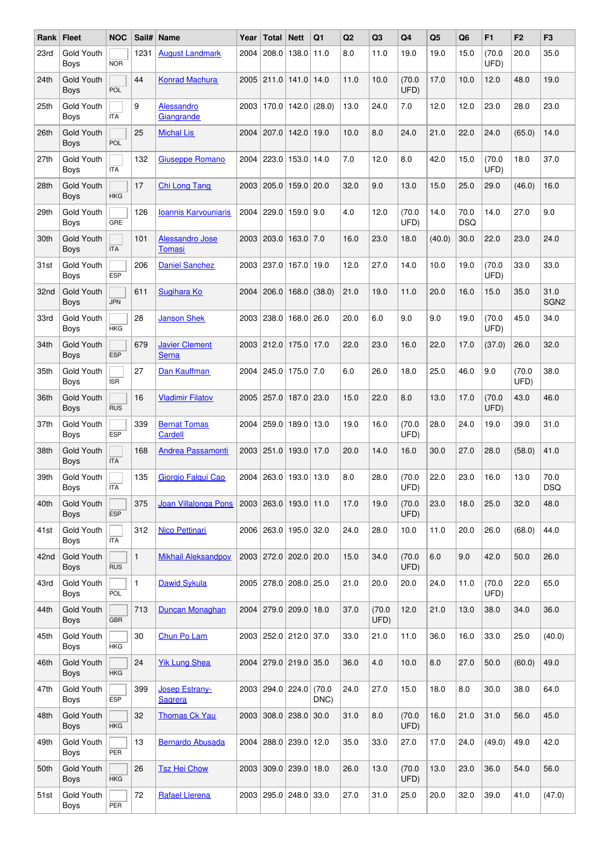| Rank | <b>Fleet</b>                     | <b>NOC</b> | Sail#        | <b>Name</b>                             | Year | <b>Total</b> | <b>Nett</b>            | Q <sub>1</sub> | Q2   | Q <sub>3</sub> | Q <sub>4</sub> | Q <sub>5</sub> | Q <sub>6</sub>     | F1             | F <sub>2</sub> | F <sub>3</sub>           |
|------|----------------------------------|------------|--------------|-----------------------------------------|------|--------------|------------------------|----------------|------|----------------|----------------|----------------|--------------------|----------------|----------------|--------------------------|
| 23rd | Gold Youth<br><b>Boys</b>        | <b>NOR</b> | 1231         | <b>August Landmark</b>                  | 2004 | 208.0        | 138.0                  | 11.0           | 8.0  | 11.0           | 19.0           | 19.0           | 15.0               | (70.0)<br>UFD) | 20.0           | 35.0                     |
| 24th | <b>Gold Youth</b><br>Boys        | POL        | 44           | <b>Konrad Machura</b>                   |      |              | 2005 211.0 141.0 14.0  |                | 11.0 | 10.0           | (70.0)<br>UFD) | 17.0           | 10.0               | 12.0           | 48.0           | 19.0                     |
| 25th | Gold Youth<br>Boys               | <b>ITA</b> | 9            | Alessandro<br>Giangrande                | 2003 | 170.0        | 142.0                  | (28.0)         | 13.0 | 24.0           | 7.0            | 12.0           | 12.0               | 23.0           | 28.0           | 23.0                     |
| 26th | <b>Gold Youth</b><br>Boys        | POL        | 25           | <b>Michal Lis</b>                       | 2004 | 207.0        | 142.0                  | 19.0           | 10.0 | 8.0            | 24.0           | 21.0           | 22.0               | 24.0           | (65.0)         | 14.0                     |
| 27th | Gold Youth<br>Boys               | <b>ITA</b> | 132          | <b>Giuseppe Romano</b>                  | 2004 | 223.0        | 153.0                  | 14.0           | 7.0  | 12.0           | 8.0            | 42.0           | 15.0               | (70.0)<br>UFD) | 18.0           | 37.0                     |
| 28th | Gold Youth<br><b>Boys</b>        | <b>HKG</b> | 17           | <b>Chi Long Tang</b>                    | 2003 | 205.0        | 159.0                  | 20.0           | 32.0 | 9.0            | 13.0           | 15.0           | 25.0               | 29.0           | (46.0)         | 16.0                     |
| 29th | Gold Youth<br>Boys               | GRE        | 126          | <b>Ioannis Karvouniaris</b>             | 2004 |              | 229.0   159.0          | 9.0            | 4.0  | 12.0           | (70.0)<br>UFD) | 14.0           | 70.0<br><b>DSQ</b> | 14.0           | 27.0           | 9.0                      |
| 30th | <b>Gold Youth</b><br>Boys        | <b>ITA</b> | 101          | <b>Alessandro Jose</b><br><b>Tomasi</b> |      | 2003   203.0 | 163.0                  | 7.0            | 16.0 | 23.0           | 18.0           | (40.0)         | 30.0               | 22.0           | 23.0           | 24.0                     |
| 31st | Gold Youth<br>Boys               | <b>ESP</b> | 206          | <b>Daniel Sanchez</b>                   | 2003 |              | 237.0   167.0   19.0   |                | 12.0 | 27.0           | 14.0           | 10.0           | 19.0               | (70.0)<br>UFD) | 33.0           | 33.0                     |
| 32nd | <b>Gold Youth</b><br><b>Boys</b> | <b>JPN</b> | 611          | Sugihara Ko                             | 2004 | 206.0        | 168.0                  | (38.0)         | 21.0 | 19.0           | 11.0           | 20.0           | 16.0               | 15.0           | 35.0           | 31.0<br>SGN <sub>2</sub> |
| 33rd | Gold Youth<br>Boys               | <b>HKG</b> | 28           | <b>Janson Shek</b>                      | 2003 | 238.0        | 168.0 26.0             |                | 20.0 | 6.0            | 9.0            | 9.0            | 19.0               | (70.0)<br>UFD) | 45.0           | 34.0                     |
| 34th | Gold Youth<br><b>Boys</b>        | <b>ESP</b> | 679          | <b>Javier Clement</b><br><b>Serna</b>   | 2003 | 212.0        | 175.0                  | 17.0           | 22.0 | 23.0           | 16.0           | 22.0           | 17.0               | (37.0)         | 26.0           | 32.0                     |
| 35th | Gold Youth<br>Boys               | <b>ISR</b> | 27           | Dan Kauffman                            |      |              | 2004 245.0 175.0 7.0   |                | 6.0  | 26.0           | 18.0           | 25.0           | 46.0               | 9.0            | (70.0)<br>UFD) | 38.0                     |
| 36th | <b>Gold Youth</b><br>Boys        | <b>RUS</b> | 16           | <b>Vladimir Filatov</b>                 | 2005 | 257.0        | 187.0                  | 23.0           | 15.0 | 22.0           | 8.0            | 13.0           | 17.0               | (70.0)<br>UFD) | 43.0           | 46.0                     |
| 37th | Gold Youth<br>Boys               | <b>ESP</b> | 339          | <b>Bernat Tomas</b><br>Cardell          | 2004 |              | 259.0   189.0   13.0   |                | 19.0 | 16.0           | (70.0)<br>UFD) | 28.0           | 24.0               | 19.0           | 39.0           | 31.0                     |
| 38th | <b>Gold Youth</b><br>Boys        | <b>ITA</b> | 168          | <b>Andrea Passamonti</b>                | 2003 | 251.0        | 193.0                  | 17.0           | 20.0 | 14.0           | 16.0           | 30.0           | 27.0               | 28.0           | (58.0)         | 41.0                     |
| 39th | Gold Youth<br>Boys               | <b>ITA</b> | 135          | Giorgio Falgui Cao                      | 2004 | 263.0        | 193.0                  | 13.0           | 8.0  | 28.0           | (70.0)<br>UFD) | 22.0           | 23.0               | 16.0           | 13.0           | 70.0<br><b>DSQ</b>       |
| 40th | <b>Gold Youth</b><br><b>Boys</b> | <b>ESP</b> | 375          | Joan Villalonga Pons                    |      |              | 2003 263.0 193.0 11.0  |                | 17.0 | 19.0           | (70.0)<br>UFD) | 23.0           | 18.0               | 25.0           | 32.0           | 48.0                     |
| 41st | Gold Youth<br>Boys               | <b>ITA</b> | 312          | <b>Nico Pettinari</b>                   |      |              | 2006 263.0 195.0 32.0  |                | 24.0 | 28.0           | 10.0           | 11.0           | 20.0               | 26.0           | (68.0)         | 44.0                     |
| 42nd | <b>Gold Youth</b><br>Boys        | <b>RUS</b> | $\mathbf{1}$ | <b>Mikhail Aleksandpov</b>              |      |              | 2003 272.0 202.0 20.0  |                | 15.0 | 34.0           | (70.0)<br>UFD) | 6.0            | 9.0                | 42.0           | 50.0           | 26.0                     |
| 43rd | Gold Youth<br>Boys               | POL        | 1            | <b>Dawid Sykula</b>                     |      |              | 2005 278.0 208.0 25.0  |                | 21.0 | 20.0           | 20.0           | 24.0           | 11.0               | (70.0)<br>UFD) | 22.0           | 65.0                     |
| 44th | Gold Youth<br>Boys               | <b>GBR</b> | 713          | Duncan Monaghan                         |      |              | 2004 279.0 209.0 18.0  |                | 37.0 | (70.0)<br>UFD) | 12.0           | 21.0           | 13.0               | 38.0           | 34.0           | 36.0                     |
| 45th | Gold Youth<br>Boys               | <b>HKG</b> | 30           | Chun Po Lam                             |      |              | 2003 252.0 212.0 37.0  |                | 33.0 | 21.0           | 11.0           | 36.0           | 16.0               | 33.0           | 25.0           | (40.0)                   |
| 46th | Gold Youth<br><b>Boys</b>        | <b>HKG</b> | 24           | <b>Yik Lung Shea</b>                    | 2004 |              | $279.0$ 219.0 35.0     |                | 36.0 | 4.0            | 10.0           | 8.0            | 27.0               | 50.0           | (60.0)         | 49.0                     |
| 47th | Gold Youth<br>Boys               | ESP        | 399          | <b>Josep Estrany-</b><br><b>Sagrera</b> |      |              | 2003 294.0 224.0 (70.0 | DNC)           | 24.0 | 27.0           | 15.0           | 18.0           | 8.0                | 30.0           | 38.0           | 64.0                     |
| 48th | <b>Gold Youth</b><br>Boys        | <b>HKG</b> | 32           | <b>Thomas Ck Yau</b>                    |      |              | 2003 308.0 238.0 30.0  |                | 31.0 | 8.0            | (70.0)<br>UFD) | 16.0           | 21.0               | 31.0           | 56.0           | 45.0                     |
| 49th | Gold Youth<br>Boys               | PER        | 13           | <b>Bernardo Abusada</b>                 |      |              | 2004 288.0 239.0 12.0  |                | 35.0 | 33.0           | 27.0           | 17.0           | 24.0               | (49.0)         | 49.0           | 42.0                     |
| 50th | <b>Gold Youth</b><br>Boys        | <b>HKG</b> | 26           | <b>Tsz Hei Chow</b>                     |      |              | 2003 309.0 239.0 18.0  |                | 26.0 | 13.0           | (70.0)<br>UFD) | 13.0           | 23.0               | 36.0           | 54.0           | 56.0                     |
| 51st | Gold Youth<br>Boys               | PER        | 72           | Rafael Llerena                          |      |              | 2003 295.0 248.0 33.0  |                | 27.0 | 31.0           | 25.0           | 20.0           | 32.0               | 39.0           | 41.0           | (47.0)                   |
|      |                                  |            |              |                                         |      |              |                        |                |      |                |                |                |                    |                |                |                          |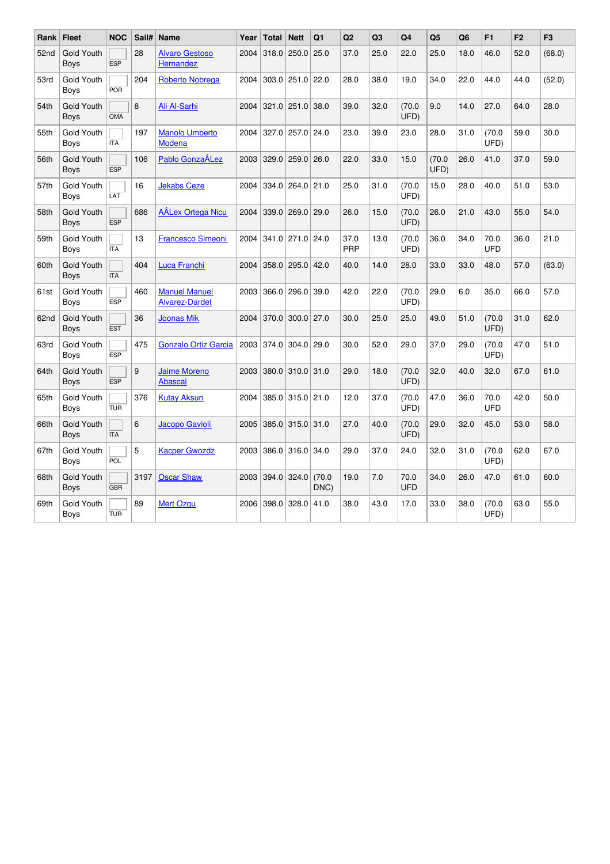| Rank             | <b>Fleet</b>              | <b>NOC</b> | Sail# | <b>Name</b>                                   | Year | <b>Total</b> | <b>Nett</b>            | Q <sub>1</sub> | Q2          | Q <sub>3</sub> | Q4                 | Q <sub>5</sub> | Q <sub>6</sub> | F1                 | F <sub>2</sub> | F <sub>3</sub> |
|------------------|---------------------------|------------|-------|-----------------------------------------------|------|--------------|------------------------|----------------|-------------|----------------|--------------------|----------------|----------------|--------------------|----------------|----------------|
| 52 <sub>nd</sub> | Gold Youth<br><b>Boys</b> | <b>ESP</b> | 28    | <b>Alvaro Gestoso</b><br>Hernandez            | 2004 | 318.0        | 250.0                  | 25.0           | 37.0        | 25.0           | 22.0               | 25.0           | 18.0           | 46.0               | 52.0           | (68.0)         |
| 53rd             | Gold Youth<br>Boys        | <b>POR</b> | 204   | <b>Roberto Nobrega</b>                        | 2004 |              | $303.0$   251.0   22.0 |                | 28.0        | 38.0           | 19.0               | 34.0           | 22.0           | 44.0               | 44.0           | (52.0)         |
| 54th             | Gold Youth<br><b>Boys</b> | <b>OMA</b> | 8     | Ali Al-Sarhi                                  | 2004 |              | $321.0$ $251.0$ $38.0$ |                | 39.0        | 32.0           | (70.0)<br>UFD)     | 9.0            | 14.0           | 27.0               | 64.0           | 28.0           |
| 55th             | Gold Youth<br>Boys        | <b>ITA</b> | 197   | <b>Manolo Umberto</b><br>Modena               |      |              | 2004 327.0 257.0 24.0  |                | 23.0        | 39.0           | 23.0               | 28.0           | 31.0           | (70.0)<br>UFD)     | 59.0           | 30.0           |
| 56th             | Gold Youth<br><b>Boys</b> | <b>ESP</b> | 106   | Pablo GonzaÂLez                               |      |              | 2003 329.0 259.0 26.0  |                | 22.0        | 33.0           | 15.0               | (70.0)<br>UFD) | 26.0           | 41.0               | 37.0           | 59.0           |
| 57th             | Gold Youth<br><b>Boys</b> | LAT        | 16    | <b>Jekabs Ceze</b>                            |      |              | 2004 334.0 264.0 21.0  |                | 25.0        | 31.0           | (70.0)<br>UFD)     | 15.0           | 28.0           | 40.0               | 51.0           | 53.0           |
| 58th             | Gold Youth<br><b>Boys</b> | <b>ESP</b> | 686   | <b>AÂLex Ortega Nicu</b>                      |      |              | 2004 339.0 269.0 29.0  |                | 26.0        | 15.0           | (70.0)<br>UFD)     | 26.0           | 21.0           | 43.0               | 55.0           | 54.0           |
| 59th             | Gold Youth<br>Boys        | <b>ITA</b> | 13    | <b>Francesco Simeoni</b>                      | 2004 |              | 341.0 271.0 24.0       |                | 37.0<br>PRP | 13.0           | (70.0)<br>UFD)     | 36.0           | 34.0           | 70.0<br><b>UFD</b> | 36.0           | 21.0           |
| 60th             | Gold Youth<br><b>Boys</b> | <b>ITA</b> | 404   | Luca Franchi                                  | 2004 |              | 358.0 295.0 42.0       |                | 40.0        | 14.0           | 28.0               | 33.0           | 33.0           | 48.0               | 57.0           | (63.0)         |
| 61st             | Gold Youth<br><b>Boys</b> | <b>ESP</b> | 460   | <b>Manuel Manuel</b><br><b>Alvarez-Dardet</b> |      |              | 2003 366.0 296.0 39.0  |                | 42.0        | 22.0           | (70.0)<br>UFD)     | 29.0           | 6.0            | 35.0               | 66.0           | 57.0           |
| 62nd             | Gold Youth<br><b>Boys</b> | <b>EST</b> | 36    | <b>Joonas Mik</b>                             | 2004 |              | $370.0$ 300.0 $27.0$   |                | 30.0        | 25.0           | 25.0               | 49.0           | 51.0           | (70.0)<br>UFD)     | 31.0           | 62.0           |
| 63rd             | Gold Youth<br>Boys        | <b>ESP</b> | 475   | <b>Gonzalo Ortiz Garcia</b>                   |      |              | 2003 374.0 304.0 29.0  |                | 30.0        | 52.0           | 29.0               | 37.0           | 29.0           | (70.0)<br>UFD)     | 47.0           | 51.0           |
| 64th             | Gold Youth<br><b>Boys</b> | <b>ESP</b> | 9     | <b>Jaime Moreno</b><br><b>Abascal</b>         | 2003 |              | 380.0 310.0 31.0       |                | 29.0        | 18.0           | (70.0)<br>UFD)     | 32.0           | 40.0           | 32.0               | 67.0           | 61.0           |
| 65th             | Gold Youth<br>Boys        | <b>TUR</b> | 376   | <b>Kutay Aksun</b>                            |      |              | 2004 385.0 315.0 21.0  |                | 12.0        | 37.0           | (70.0)<br>UFD)     | 47.0           | 36.0           | 70.0<br>UFD        | 42.0           | 50.0           |
| 66th             | Gold Youth<br><b>Boys</b> | <b>ITA</b> | 6     | Jacopo Gavioli                                |      |              | 2005 385.0 315.0 31.0  |                | 27.0        | 40.0           | (70.0)<br>UFD)     | 29.0           | 32.0           | 45.0               | 53.0           | 58.0           |
| 67th             | Gold Youth<br>Boys        | POL        | 5     | <b>Kacper Gwozdz</b>                          |      |              | 2003 386.0 316.0 34.0  |                | 29.0        | 37.0           | 24.0               | 32.0           | 31.0           | (70.0)<br>UFD)     | 62.0           | 67.0           |
| 68th             | Gold Youth<br><b>Boys</b> | <b>GBR</b> | 3197  | <b>Oscar Shaw</b>                             | 2003 |              | $394.0$ 324.0          | (70.0)<br>DNC) | 19.0        | 7.0            | 70.0<br><b>UFD</b> | 34.0           | 26.0           | 47.0               | 61.0           | 60.0           |
| 69th             | Gold Youth<br>Boys        | <b>TUR</b> | 89    | <b>Mert Ozgu</b>                              | 2006 | 398.0        | 328.0                  | 41.0           | 38.0        | 43.0           | 17.0               | 33.0           | 38.0           | (70.0)<br>UFD)     | 63.0           | 55.0           |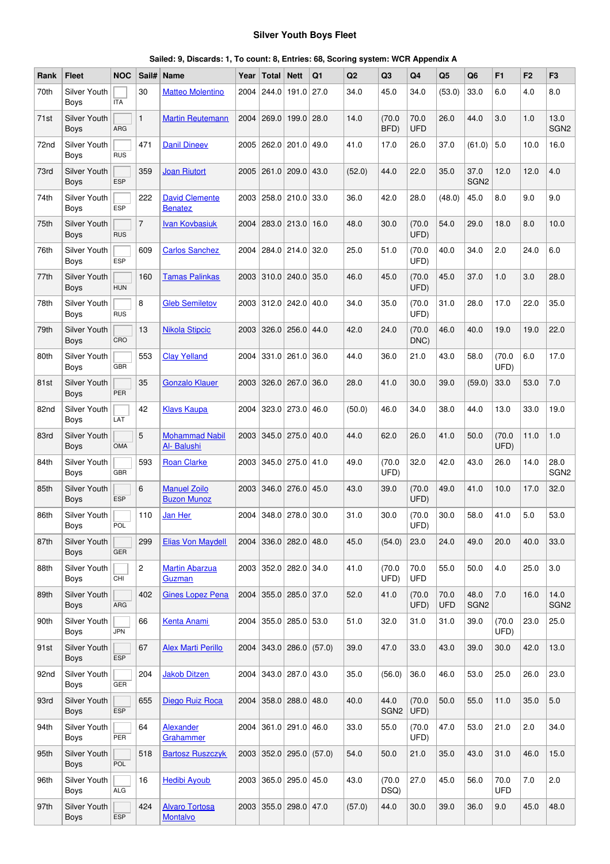## **Silver Youth Boys Fleet**

| Rank | <b>Fleet</b>                       | <b>NOC</b> | Sail#          | <b>Name</b>                               | Year | Total                 | <b>Nett</b>   | Q1                      | Q2     | Q <sub>3</sub>           | Q <sub>4</sub>     | Q <sub>5</sub>     | Q <sub>6</sub>           | F <sub>1</sub>     | F <sub>2</sub> | F <sub>3</sub>           |
|------|------------------------------------|------------|----------------|-------------------------------------------|------|-----------------------|---------------|-------------------------|--------|--------------------------|--------------------|--------------------|--------------------------|--------------------|----------------|--------------------------|
| 70th | <b>Silver Youth</b><br><b>Boys</b> | <b>ITA</b> | 30             | <b>Matteo Molentino</b>                   | 2004 | 244.0                 | 191.0         | 27.0                    | 34.0   | 45.0                     | 34.0               | (53.0)             | 33.0                     | 6.0                | 4.0            | 8.0                      |
| 71st | <b>Silver Youth</b><br><b>Boys</b> | <b>ARG</b> |                | <b>Martin Reutemann</b>                   | 2004 | 269.0                 | 199.0         | 28.0                    | 14.0   | (70.0)<br>BFD)           | 70.0<br><b>UFD</b> | 26.0               | 44.0                     | 3.0                | 1.0            | 13.0<br>SGN <sub>2</sub> |
| 72nd | <b>Silver Youth</b><br>Boys        | <b>RUS</b> | 471            | <b>Danil Dineev</b>                       | 2005 | 262.0                 | 201.0         | 49.0                    | 41.0   | 17.0                     | 26.0               | 37.0               | (61.0)                   | 5.0                | 10.0           | 16.0                     |
| 73rd | Silver Youth<br>Boys               | <b>ESP</b> | 359            | <b>Joan Riutort</b>                       | 2005 | 261.0                 | 209.0         | 43.0                    | (52.0) | 44.0                     | 22.0               | 35.0               | 37.0<br>SGN <sub>2</sub> | 12.0               | 12.0           | 4.0                      |
| 74th | Silver Youth<br>Boys               | <b>ESP</b> | 222            | <b>David Clemente</b><br><b>Benatez</b>   | 2003 |                       | 258.0 210.0   | 33.0                    | 36.0   | 42.0                     | 28.0               | (48.0)             | 45.0                     | 8.0                | 9.0            | 9.0                      |
| 75th | <b>Silver Youth</b><br>Boys        | <b>RUS</b> | $\overline{7}$ | <b>Ivan Kovbasiuk</b>                     | 2004 |                       | 283.0 213.0   | 16.0                    | 48.0   | 30.0                     | (70.0)<br>UFD)     | 54.0               | 29.0                     | 18.0               | 8.0            | 10.0                     |
| 76th | Silver Youth<br>Boys               | <b>ESP</b> | 609            | <b>Carlos Sanchez</b>                     | 2004 |                       | 284.0 214.0   | 32.0                    | 25.0   | 51.0                     | (70.0)<br>UFD)     | 40.0               | 34.0                     | 2.0                | 24.0           | 6.0                      |
| 77th | Silver Youth<br><b>Boys</b>        | <b>HUN</b> | 160            | <b>Tamas Palinkas</b>                     | 2003 | 310.0                 | 240.0         | 35.0                    | 46.0   | 45.0                     | (70.0)<br>UFD)     | 45.0               | 37.0                     | 1.0                | 3.0            | 28.0                     |
| 78th | <b>Silver Youth</b><br>Boys        | <b>RUS</b> | 8              | <b>Gleb Semiletov</b>                     | 2003 | 312.0                 | 242.0         | 40.0                    | 34.0   | 35.0                     | (70.0)<br>UFD)     | 31.0               | 28.0                     | 17.0               | 22.0           | 35.0                     |
| 79th | Silver Youth<br>Boys               | CRO        | 13             | <b>Nikola Stipcic</b>                     | 2003 | 326.0                 | 256.0         | 44.0                    | 42.0   | 24.0                     | (70.0)<br>DNC)     | 46.0               | 40.0                     | 19.0               | 19.0           | 22.0                     |
| 80th | Silver Youth<br>Boys               | <b>GBR</b> | 553            | <b>Clay Yelland</b>                       | 2004 | 331.0                 | 261.0         | 36.0                    | 44.0   | 36.0                     | 21.0               | 43.0               | 58.0                     | (70.0)<br>UFD)     | 6.0            | 17.0                     |
| 81st | <b>Silver Youth</b><br>Boys        | <b>PER</b> | 35             | <b>Gonzalo Klauer</b>                     | 2003 |                       | $326.0$ 267.0 | 36.0                    | 28.0   | 41.0                     | 30.0               | 39.0               | (59.0)                   | 33.0               | 53.0           | 7.0                      |
| 82nd | Silver Youth<br>Boys               | LAT        | 42             | <b>Klavs Kaupa</b>                        | 2004 |                       | $323.0$ 273.0 | 46.0                    | (50.0) | 46.0                     | 34.0               | 38.0               | 44.0                     | 13.0               | 33.0           | 19.0                     |
| 83rd | <b>Silver Youth</b><br>Boys        | OMA        | 5              | <b>Mohammad Nabil</b><br>Al- Balushi      | 2003 |                       | $345.0$ 275.0 | 40.0                    | 44.0   | 62.0                     | 26.0               | 41.0               | 50.0                     | (70.0)<br>UFD)     | 11.0           | 1.0                      |
| 84th | Silver Youth<br>Boys               | <b>GBR</b> | 593            | <b>Roan Clarke</b>                        | 2003 | 345.0                 | 275.0         | 41.0                    | 49.0   | (70.0)<br>UFD)           | 32.0               | 42.0               | 43.0                     | 26.0               | 14.0           | 28.0<br>SGN <sub>2</sub> |
| 85th | Silver Youth<br><b>Boys</b>        | <b>ESP</b> | 6              | <b>Manuel Zoilo</b><br><b>Buzon Munoz</b> | 2003 | 346.0                 | 276.0         | 45.0                    | 43.0   | 39.0                     | (70.0)<br>UFD)     | 49.0               | 41.0                     | 10.0               | 17.0           | 32.0                     |
| 86th | Silver Youth<br>Boys               | POL        | 110            | Jan Her                                   | 2004 |                       | $348.0$ 278.0 | 30.0                    | 31.0   | 30.0                     | (70.0)<br>UFD)     | 30.0               | 58.0                     | 41.0               | 5.0            | 53.0                     |
| 87th | Silver Youth<br><b>Boys</b>        | <b>GER</b> | 299            | <b>Elias Von Maydell</b>                  | 2004 | 336.0   282.0         |               | 48.0                    | 45.0   | (54.0)                   | 23.0               | 24.0               | 49.0                     | 20.0               | 40.0           | 33.0                     |
| 88th | Silver Youth<br><b>Boys</b>        | CHI        | 2              | <b>Martin Abarzua</b><br>Guzman           |      | 2003 352.0 282.0 34.0 |               |                         | 41.0   | (70.0)<br>UFD)           | 70.0<br><b>UFD</b> | 55.0               | 50.0                     | 4.0                | 25.0           | 3.0                      |
| 89th | Silver Youth<br><b>Boys</b>        | <b>ARG</b> | 402            | <b>Gines Lopez Pena</b>                   |      | 2004 355.0 285.0 37.0 |               |                         | 52.0   | 41.0                     | (70.0)<br>UFD)     | 70.0<br><b>UFD</b> | 48.0<br>SGN <sub>2</sub> | 7.0                | 16.0           | 14.0<br>SGN <sub>2</sub> |
| 90th | Silver Youth<br>Boys               | <b>JPN</b> | 66             | <b>Kenta Anami</b>                        | 2004 | $355.0$ 285.0 53.0    |               |                         | 51.0   | 32.0                     | 31.0               | 31.0               | 39.0                     | (70.0)<br>UFD)     | 23.0           | 25.0                     |
| 91st | Silver Youth<br><b>Boys</b>        | <b>ESP</b> | 67             | <b>Alex Marti Perillo</b>                 | 2004 |                       |               | 343.0   286.0   (57.0)  | 39.0   | 47.0                     | 33.0               | 43.0               | 39.0                     | 30.0               | 42.0           | 13.0                     |
| 92nd | Silver Youth<br>Boys               | <b>GER</b> | 204            | <b>Jakob Ditzen</b>                       |      | 2004 343.0 287.0 43.0 |               |                         | 35.0   | (56.0)                   | 36.0               | 46.0               | 53.0                     | 25.0               | 26.0           | 23.0                     |
| 93rd | Silver Youth<br><b>Boys</b>        | <b>ESP</b> | 655            | Diego Ruiz Roca                           |      | 2004 358.0 288.0 48.0 |               |                         | 40.0   | 44.0<br>SGN <sub>2</sub> | (70.0)<br>UFD)     | 50.0               | 55.0                     | 11.0               | 35.0           | 5.0                      |
| 94th | Silver Youth<br>Boys               | PER        | 64             | Alexander<br>Grahammer                    | 2004 | $361.0$ 291.0 46.0    |               |                         | 33.0   | 55.0                     | (70.0)<br>UFD)     | 47.0               | 53.0                     | 21.0               | 2.0            | 34.0                     |
| 95th | Silver Youth<br>Boys               | POL        | 518            | <b>Bartosz Ruszczyk</b>                   |      |                       |               | 2003 352.0 295.0 (57.0) | 54.0   | 50.0                     | 21.0               | 35.0               | 43.0                     | 31.0               | 46.0           | 15.0                     |
| 96th | Silver Youth<br>Boys               | <b>ALG</b> | 16             | <b>Hedibi Ayoub</b>                       |      | 2003 365.0 295.0 45.0 |               |                         | 43.0   | (70.0)<br>DSQ)           | 27.0               | 45.0               | 56.0                     | 70.0<br><b>UFD</b> | 7.0            | 2.0                      |
| 97th | Silver Youth<br><b>Boys</b>        | ESP        | 424            | <b>Alvaro Tortosa</b><br>Montalvo         |      | 2003 355.0 298.0      |               | 47.0                    | (57.0) | 44.0                     | 30.0               | 39.0               | 36.0                     | 9.0                | 45.0           | 48.0                     |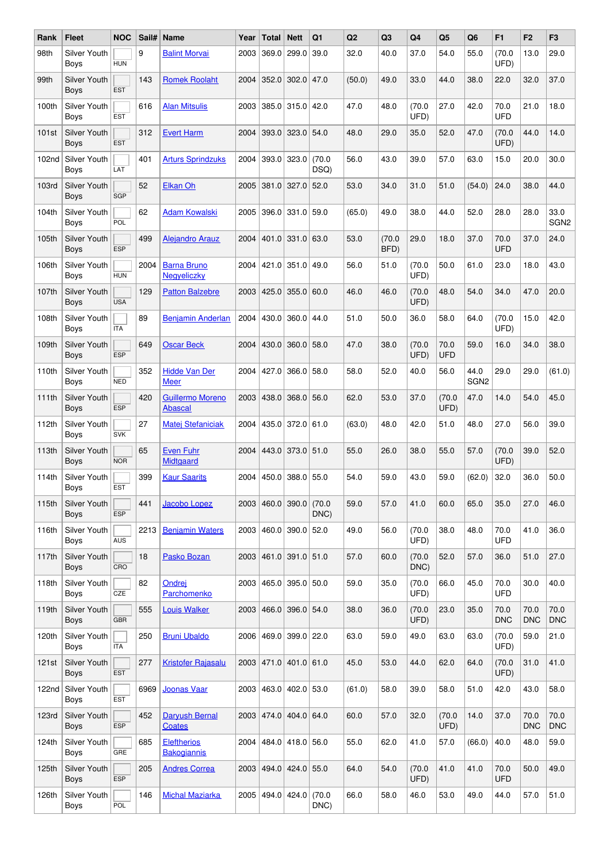| Rank              | <b>Fleet</b>                       | <b>NOC</b> | Sail# | <b>Name</b>                               | Year | Total            | <b>Nett</b>      | Q1             | Q2     | Q <sub>3</sub> | Q4             | Q <sub>5</sub>     | Q <sub>6</sub>           | F <sub>1</sub>     | F <sub>2</sub>     | F <sub>3</sub>           |
|-------------------|------------------------------------|------------|-------|-------------------------------------------|------|------------------|------------------|----------------|--------|----------------|----------------|--------------------|--------------------------|--------------------|--------------------|--------------------------|
| 98th              | Silver Youth<br>Boys               | <b>HUN</b> | 9     | <b>Balint Morvai</b>                      | 2003 | 369.0            | 299.0            | 39.0           | 32.0   | 40.0           | 37.0           | 54.0               | 55.0                     | (70.0)<br>UFD)     | 13.0               | 29.0                     |
| 99th              | Silver Youth<br>Boys               | <b>EST</b> | 143   | <b>Romek Roolaht</b>                      | 2004 | 352.0            | 302.0            | 47.0           | (50.0) | 49.0           | 33.0           | 44.0               | 38.0                     | 22.0               | 32.0               | 37.0                     |
| 100th             | Silver Youth<br>Boys               | <b>EST</b> | 616   | <b>Alan Mitsulis</b>                      | 2003 | 385.0            | 315.0            | 42.0           | 47.0   | 48.0           | (70.0)<br>UFD) | 27.0               | 42.0                     | 70.0<br><b>UFD</b> | 21.0               | 18.0                     |
| 101st             | <b>Silver Youth</b><br><b>Boys</b> | <b>EST</b> | 312   | <b>Evert Harm</b>                         | 2004 | 393.0            | 323.0            | 54.0           | 48.0   | 29.0           | 35.0           | 52.0               | 47.0                     | (70.0<br>UFD)      | 44.0               | 14.0                     |
| 102 <sub>nd</sub> | Silver Youth<br>Boys               | LAT        | 401   | <b>Arturs Sprindzuks</b>                  | 2004 | 393.0            | 323.0            | (70.0)<br>DSQ) | 56.0   | 43.0           | 39.0           | 57.0               | 63.0                     | 15.0               | 20.0               | 30.0                     |
| 103rd             | Silver Youth<br>Boys               | <b>SGP</b> | 52    | <b>Elkan Oh</b>                           | 2005 | 381.0            | 327.0            | 52.0           | 53.0   | 34.0           | 31.0           | 51.0               | (54.0)                   | 24.0               | 38.0               | 44.0                     |
| 104th             | Silver Youth<br>Boys               | POL        | 62    | <b>Adam Kowalski</b>                      | 2005 | 396.0            | 331.0            | 59.0           | (65.0) | 49.0           | 38.0           | 44.0               | 52.0                     | 28.0               | 28.0               | 33.0<br>SGN <sub>2</sub> |
| 105th             | <b>Silver Youth</b><br><b>Boys</b> | <b>ESP</b> | 499   | <b>Alejandro Arauz</b>                    | 2004 | 401.0            | 331.0            | 63.0           | 53.0   | (70.0)<br>BFD) | 29.0           | 18.0               | 37.0                     | 70.0<br><b>UFD</b> | 37.0               | 24.0                     |
| 106th             | Silver Youth<br>Boys               | <b>HUN</b> | 2004  | <b>Barna Bruno</b><br><b>Negveliczky</b>  | 2004 | 421.0            | 351.0            | 49.0           | 56.0   | 51.0           | (70.0)<br>UFD) | 50.0               | 61.0                     | 23.0               | 18.0               | 43.0                     |
| 107th             | <b>Silver Youth</b><br>Boys        | <b>USA</b> | 129   | <b>Patton Balzebre</b>                    | 2003 | 425.0            | 355.0            | 60.0           | 46.0   | 46.0           | (70.0)<br>UFD) | 48.0               | 54.0                     | 34.0               | 47.0               | 20.0                     |
| 108th             | Silver Youth<br>Boys               | <b>ITA</b> | 89    | <b>Benjamin Anderlan</b>                  | 2004 | 430.0            | 360.0            | 44.0           | 51.0   | 50.0           | 36.0           | 58.0               | 64.0                     | (70.0)<br>UFD)     | 15.0               | 42.0                     |
| 109th             | Silver Youth<br>Boys               | <b>ESP</b> | 649   | <b>Oscar Beck</b>                         | 2004 | 430.0            | 360.0            | 58.0           | 47.0   | 38.0           | (70.0)<br>UFD) | 70.0<br><b>UFD</b> | 59.0                     | 16.0               | 34.0               | 38.0                     |
| 110th             | Silver Youth<br>Boys               | <b>NED</b> | 352   | <b>Hidde Van Der</b><br><b>Meer</b>       | 2004 | 427.0            | 366.0            | 58.0           | 58.0   | 52.0           | 40.0           | 56.0               | 44.0<br>SGN <sub>2</sub> | 29.0               | 29.0               | (61.0)                   |
| 111th             | <b>Silver Youth</b><br><b>Boys</b> | <b>ESP</b> | 420   | <b>Guillermo Moreno</b><br><b>Abascal</b> | 2003 | 438.0            | 368.0            | 56.0           | 62.0   | 53.0           | 37.0           | (70.0)<br>UFD)     | 47.0                     | 14.0               | 54.0               | 45.0                     |
| 112th             | Silver Youth<br>Boys               | <b>SVK</b> | 27    | Matej Stefaniciak                         | 2004 | 435.0            | 372.0            | 61.0           | (63.0) | 48.0           | 42.0           | 51.0               | 48.0                     | 27.0               | 56.0               | 39.0                     |
| 113th             | <b>Silver Youth</b><br><b>Boys</b> | <b>NOR</b> | 65    | <b>Even Fuhr</b><br><b>Midtgaard</b>      | 2004 | 443.0            | 373.0            | 51.0           | 55.0   | 26.0           | 38.0           | 55.0               | 57.0                     | (70.0<br>UFD)      | 39.0               | 52.0                     |
| 114th             | Silver Youth<br>Boys               | <b>EST</b> | 399   | <b>Kaur Saarits</b>                       | 2004 | 450.0            | 388.0            | 55.0           | 54.0   | 59.0           | 43.0           | 59.0               | (62.0)                   | 32.0               | 36.0               | 50.0                     |
| 115th             | <b>Silver Youth</b><br><b>Boys</b> | <b>ESP</b> | 441   | Jacobo Lopez                              | 2003 |                  | 460.0 390.0      | (70.0)<br>DNC) | 59.0   | 57.0           | 41.0           | 60.0               | 65.0                     | 35.0               | 27.0               | 46.0                     |
| 116th             | Silver Youth<br>Boys               | <b>AUS</b> | 2213  | <b>Benjamin Waters</b>                    | 2003 |                  | 460.0 390.0      | 52.0           | 49.0   | 56.0           | (70.0)<br>UFD) | 38.0               | 48.0                     | 70.0<br><b>UFD</b> | 41.0               | 36.0                     |
| 117th             | <b>Silver Youth</b><br><b>Boys</b> | CRO        | 18    | Pasko Bozan                               | 2003 |                  | 461.0 391.0      | 51.0           | 57.0   | 60.0           | (70.0)<br>DNC) | 52.0               | 57.0                     | 36.0               | 51.0               | 27.0                     |
| 118th             | Silver Youth<br>Boys               | CZE        | 82    | Ondrej<br>Parchomenko                     | 2003 |                  | 465.0 395.0      | 50.0           | 59.0   | 35.0           | (70.0)<br>UFD) | 66.0               | 45.0                     | 70.0<br><b>UFD</b> | 30.0               | 40.0                     |
| 119th             | Silver Youth<br><b>Boys</b>        | <b>GBR</b> | 555   | <b>Louis Walker</b>                       | 2003 | 466.0 396.0 54.0 |                  |                | 38.0   | 36.0           | (70.0)<br>UFD) | 23.0               | 35.0                     | 70.0<br><b>DNC</b> | 70.0<br><b>DNC</b> | 70.0<br><b>DNC</b>       |
| 120th             | Silver Youth<br>Boys               | <b>ITA</b> | 250   | <b>Bruni Ubaldo</b>                       | 2006 | 469.0            | 399.0            | 22.0           | 63.0   | 59.0           | 49.0           | 63.0               | 63.0                     | (70.0)<br>UFD)     | 59.0               | 21.0                     |
| 121st             | Silver Youth<br><b>Boys</b>        | <b>EST</b> | 277   | <b>Kristofer Rajasalu</b>                 | 2003 |                  | 471.0 401.0 61.0 |                | 45.0   | 53.0           | 44.0           | 62.0               | 64.0                     | (70.0)<br>UFD)     | 31.0               | 41.0                     |
| 122nd             | Silver Youth<br>Boys               | <b>EST</b> | 6969  | <b>Joonas Vaar</b>                        | 2003 |                  | 463.0 402.0      | 53.0           | (61.0) | 58.0           | 39.0           | 58.0               | 51.0                     | 42.0               | 43.0               | 58.0                     |
| 123rd             | Silver Youth<br><b>Boys</b>        | <b>ESP</b> | 452   | <b>Daryush Bernal</b><br><b>Coates</b>    | 2003 | 474.0            | 404.0            | 64.0           | 60.0   | 57.0           | 32.0           | (70.0)<br>UFD)     | 14.0                     | 37.0               | 70.0<br><b>DNC</b> | 70.0<br><b>DNC</b>       |
| 124th             | Silver Youth<br>Boys               | GRE        | 685   | <b>Eleftherios</b><br><b>Bakogiannis</b>  | 2004 |                  | 484.0 418.0      | 56.0           | 55.0   | 62.0           | 41.0           | 57.0               | (66.0)                   | 40.0               | 48.0               | 59.0                     |
| 125th             | Silver Youth<br><b>Boys</b>        | <b>ESP</b> | 205   | <b>Andres Correa</b>                      | 2003 | 494.0            | 424.0            | 55.0           | 64.0   | 54.0           | (70.0)<br>UFD) | 41.0               | 41.0                     | 70.0<br><b>UFD</b> | 50.0               | 49.0                     |
| 126th             | Silver Youth<br>Boys               | POL        | 146   | <b>Michal Maziarka</b>                    | 2005 | $494.0$ 424.0    |                  | (70.0)<br>DNC) | 66.0   | 58.0           | 46.0           | 53.0               | 49.0                     | 44.0               | 57.0               | 51.0                     |